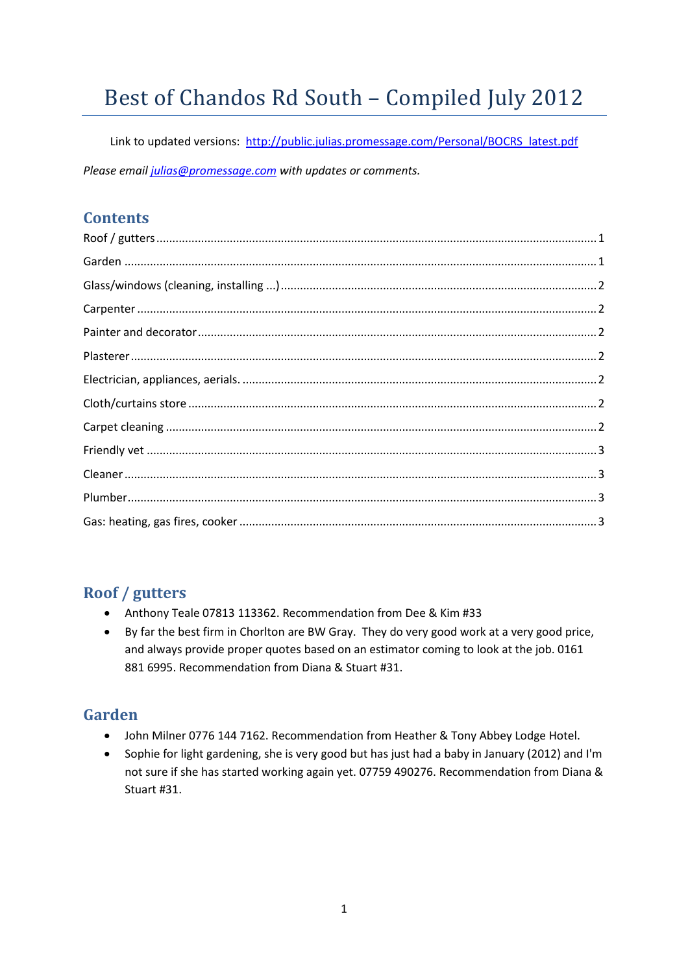# Best of Chandos Rd South – Compiled July 2012

Link to updated versions: http://public.julias.promessage.com/Personal/BOCRS\_latest.pdf *Please email julias@promessage.com with updates or comments.*

#### **Contents**

## **Roof / gutters**

- Anthony Teale 07813 113362. Recommendation from Dee & Kim #33
- By far the best firm in Chorlton are BW Gray. They do very good work at a very good price, and always provide proper quotes based on an estimator coming to look at the job. 0161 881 6995. Recommendation from Diana & Stuart #31.

# **Garden**

- John Milner 0776 144 7162. Recommendation from Heather & Tony Abbey Lodge Hotel.
- Sophie for light gardening, she is very good but has just had a baby in January (2012) and I'm not sure if she has started working again yet. 07759 490276. Recommendation from Diana & Stuart #31.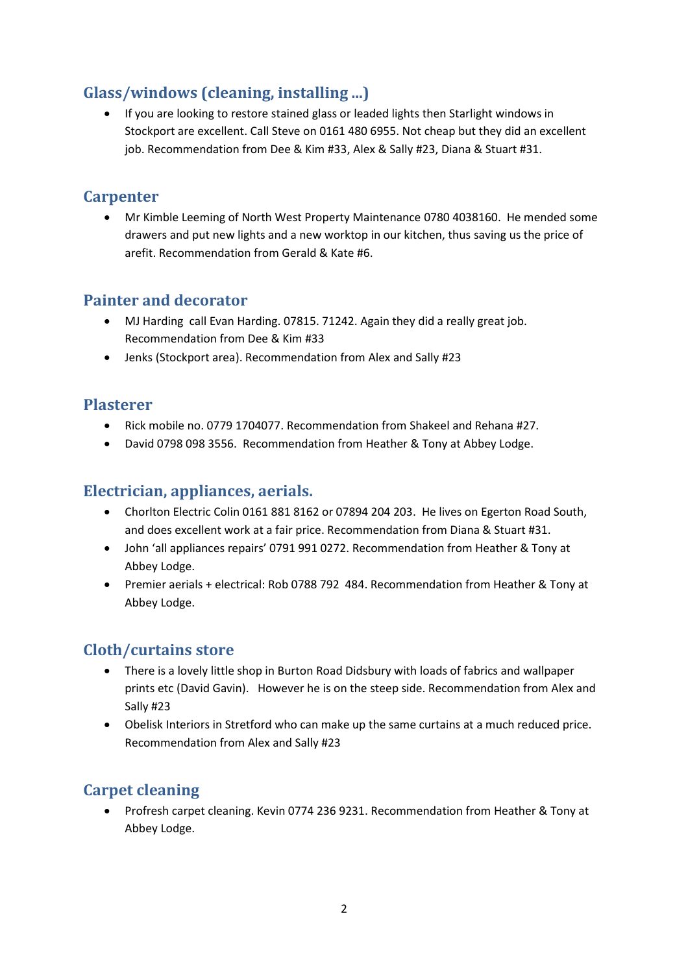## **Glass/windows (cleaning, installing ...)**

 If you are looking to restore stained glass or leaded lights then Starlight windows in Stockport are excellent. Call Steve on 0161 480 6955. Not cheap but they did an excellent job. Recommendation from Dee & Kim #33, Alex & Sally #23, Diana & Stuart #31.

#### **Carpenter**

 Mr Kimble Leeming of North West Property Maintenance 0780 4038160. He mended some drawers and put new lights and a new worktop in our kitchen, thus saving us the price of arefit. Recommendation from Gerald & Kate #6.

#### **Painter and decorator**

- MJ Harding call Evan Harding. 07815. 71242. Again they did a really great job. Recommendation from Dee & Kim #33
- Jenks (Stockport area). Recommendation from Alex and Sally #23

#### **Plasterer**

- Rick mobile no. 0779 1704077. Recommendation from Shakeel and Rehana #27.
- David 0798 098 3556. Recommendation from Heather & Tony at Abbey Lodge.

### **Electrician, appliances, aerials.**

- Chorlton Electric Colin 0161 881 8162 or 07894 204 203. He lives on Egerton Road South, and does excellent work at a fair price. Recommendation from Diana & Stuart #31.
- John 'all appliances repairs' 0791 991 0272. Recommendation from Heather & Tony at Abbey Lodge.
- Premier aerials + electrical: Rob 0788 792 484. Recommendation from Heather & Tony at Abbey Lodge.

## **Cloth/curtains store**

- There is a lovely little shop in Burton Road Didsbury with loads of fabrics and wallpaper prints etc (David Gavin). However he is on the steep side. Recommendation from Alex and Sally #23
- Obelisk Interiors in Stretford who can make up the same curtains at a much reduced price. Recommendation from Alex and Sally #23

# **Carpet cleaning**

 Profresh carpet cleaning. Kevin 0774 236 9231. Recommendation from Heather & Tony at Abbey Lodge.